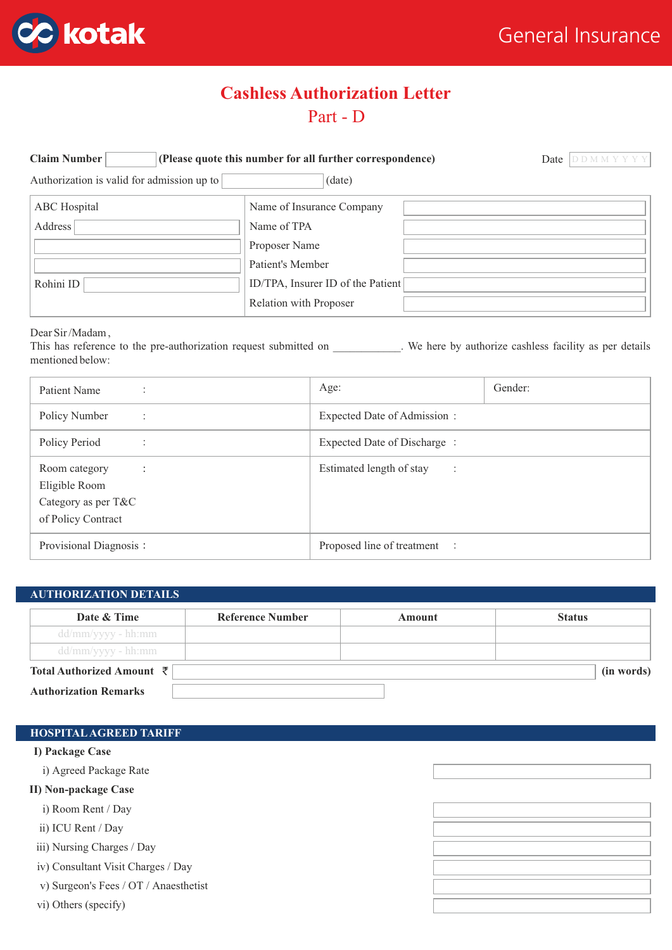

# Part - D **Cashless Authorization Letter**

| <b>Claim Number</b><br>(Please quote this number for all further correspondence) | Date                              |  |
|----------------------------------------------------------------------------------|-----------------------------------|--|
| Authorization is valid for admission up to                                       | (date)                            |  |
| ABC Hospital                                                                     | Name of Insurance Company         |  |
| Address                                                                          | Name of TPA                       |  |
|                                                                                  | Proposer Name                     |  |
|                                                                                  | Patient's Member                  |  |
| Rohini ID                                                                        | ID/TPA, Insurer ID of the Patient |  |
|                                                                                  | Relation with Proposer            |  |

Dear Sir /Madam ,

This has reference to the pre-authorization request submitted on \_\_\_\_\_\_\_\_\_\_\_. We here by authorize cashless facility as per details mentioned below:

| Patient Name                                                                             | Age:                                       | Gender: |  |
|------------------------------------------------------------------------------------------|--------------------------------------------|---------|--|
| Policy Number<br>$\ddot{\cdot}$                                                          | Expected Date of Admission:                |         |  |
| Policy Period                                                                            | Expected Date of Discharge:                |         |  |
| Room category<br>$\cdot$ :<br>Eligible Room<br>Category as per T&C<br>of Policy Contract | Estimated length of stay<br>$\ddot{\cdot}$ |         |  |
| Provisional Diagnosis:                                                                   | Proposed line of treatment :               |         |  |

# **Date & Time Reference Number Amount Status** dd/mm/yyyy - hh:mm dd/mm/yyyy - hh:mm **Total Authorized Amount** `**Authorization Remarks AUTHORIZATION DETAILS (in words)**

### **HOSPITALAGREED TARIFF**

**I) Package Case**

i) Agreed Package Rate

**II) Non-package Case**

i) Room Rent / Day

ii) ICU Rent / Day

iii) Nursing Charges / Day

iv) Consultant Visit Charges / Day

v) Surgeon's Fees / OT / Anaesthetist

vi) Others (specify)